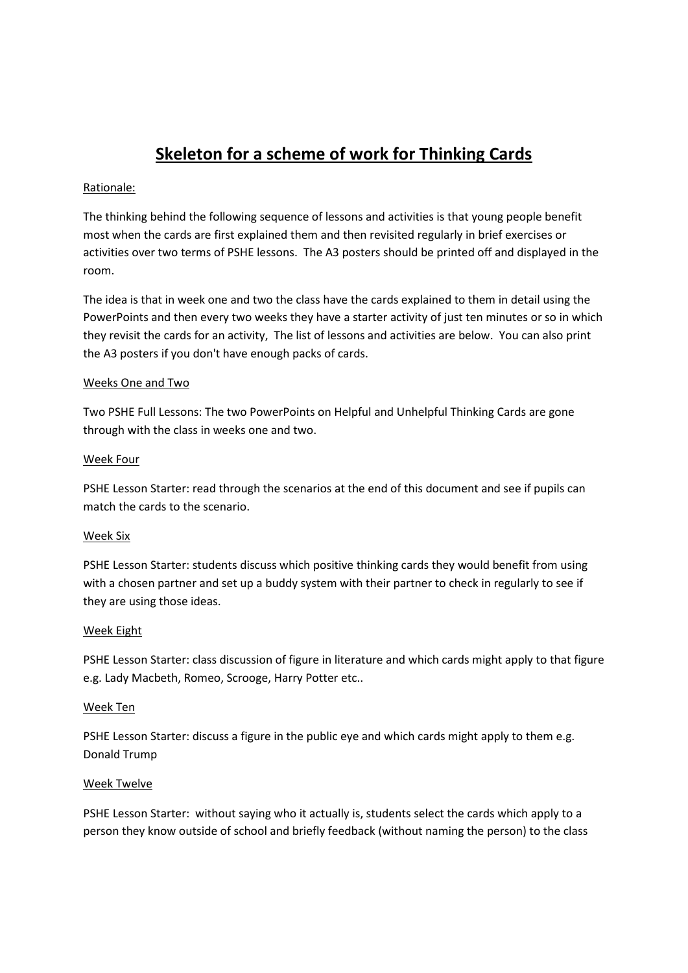# **Skeleton for a scheme of work for Thinking Cards**

## Rationale:

The thinking behind the following sequence of lessons and activities is that young people benefit most when the cards are first explained them and then revisited regularly in brief exercises or activities over two terms of PSHE lessons. The A3 posters should be printed off and displayed in the room.

The idea is that in week one and two the class have the cards explained to them in detail using the PowerPoints and then every two weeks they have a starter activity of just ten minutes or so in which they revisit the cards for an activity, The list of lessons and activities are below. You can also print the A3 posters if you don't have enough packs of cards.

### Weeks One and Two

Two PSHE Full Lessons: The two PowerPoints on Helpful and Unhelpful Thinking Cards are gone through with the class in weeks one and two.

### Week Four

PSHE Lesson Starter: read through the scenarios at the end of this document and see if pupils can match the cards to the scenario.

## Week Six

PSHE Lesson Starter: students discuss which positive thinking cards they would benefit from using with a chosen partner and set up a buddy system with their partner to check in regularly to see if they are using those ideas.

#### Week Eight

PSHE Lesson Starter: class discussion of figure in literature and which cards might apply to that figure e.g. Lady Macbeth, Romeo, Scrooge, Harry Potter etc..

#### Week Ten

PSHE Lesson Starter: discuss a figure in the public eye and which cards might apply to them e.g. Donald Trump

#### Week Twelve

PSHE Lesson Starter: without saying who it actually is, students select the cards which apply to a person they know outside of school and briefly feedback (without naming the person) to the class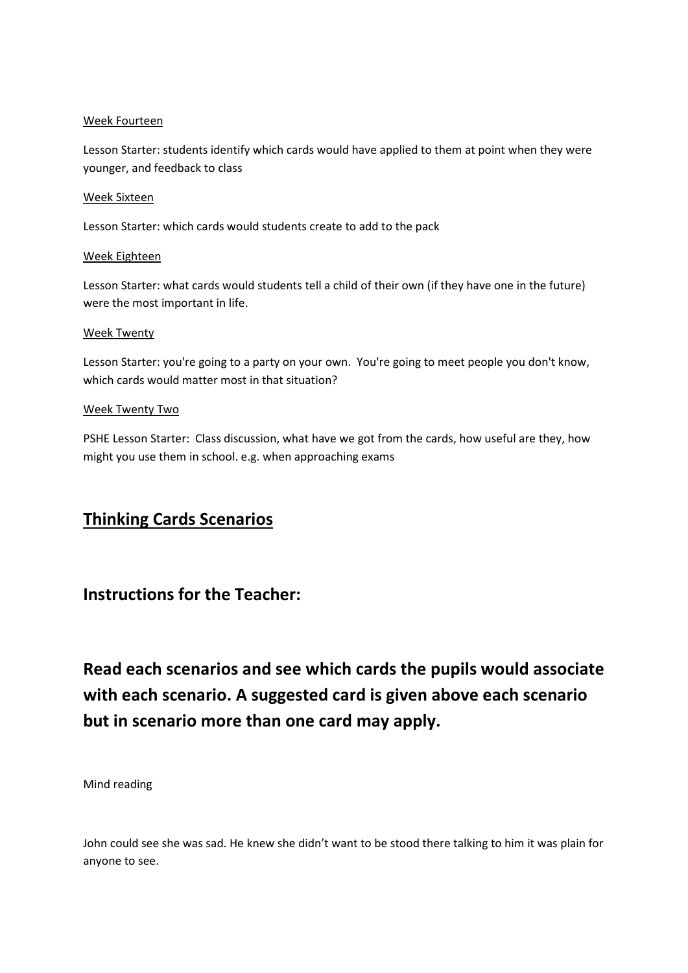### Week Fourteen

Lesson Starter: students identify which cards would have applied to them at point when they were younger, and feedback to class

#### Week Sixteen

Lesson Starter: which cards would students create to add to the pack

### Week Eighteen

Lesson Starter: what cards would students tell a child of their own (if they have one in the future) were the most important in life.

### Week Twenty

Lesson Starter: you're going to a party on your own. You're going to meet people you don't know, which cards would matter most in that situation?

### Week Twenty Two

PSHE Lesson Starter: Class discussion, what have we got from the cards, how useful are they, how might you use them in school. e.g. when approaching exams

## **Thinking Cards Scenarios**

## **Instructions for the Teacher:**

**Read each scenarios and see which cards the pupils would associate with each scenario. A suggested card is given above each scenario but in scenario more than one card may apply.** 

Mind reading

John could see she was sad. He knew she didn't want to be stood there talking to him it was plain for anyone to see.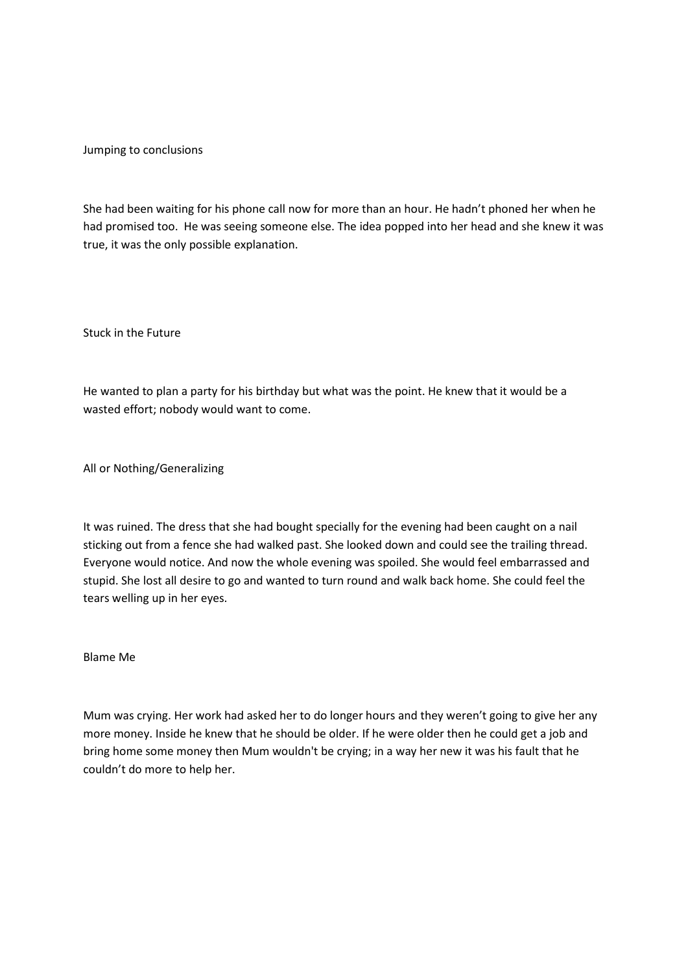Jumping to conclusions

She had been waiting for his phone call now for more than an hour. He hadn't phoned her when he had promised too. He was seeing someone else. The idea popped into her head and she knew it was true, it was the only possible explanation.

Stuck in the Future

He wanted to plan a party for his birthday but what was the point. He knew that it would be a wasted effort; nobody would want to come.

All or Nothing/Generalizing

It was ruined. The dress that she had bought specially for the evening had been caught on a nail sticking out from a fence she had walked past. She looked down and could see the trailing thread. Everyone would notice. And now the whole evening was spoiled. She would feel embarrassed and stupid. She lost all desire to go and wanted to turn round and walk back home. She could feel the tears welling up in her eyes.

Blame Me

Mum was crying. Her work had asked her to do longer hours and they weren't going to give her any more money. Inside he knew that he should be older. If he were older then he could get a job and bring home some money then Mum wouldn't be crying; in a way her new it was his fault that he couldn't do more to help her.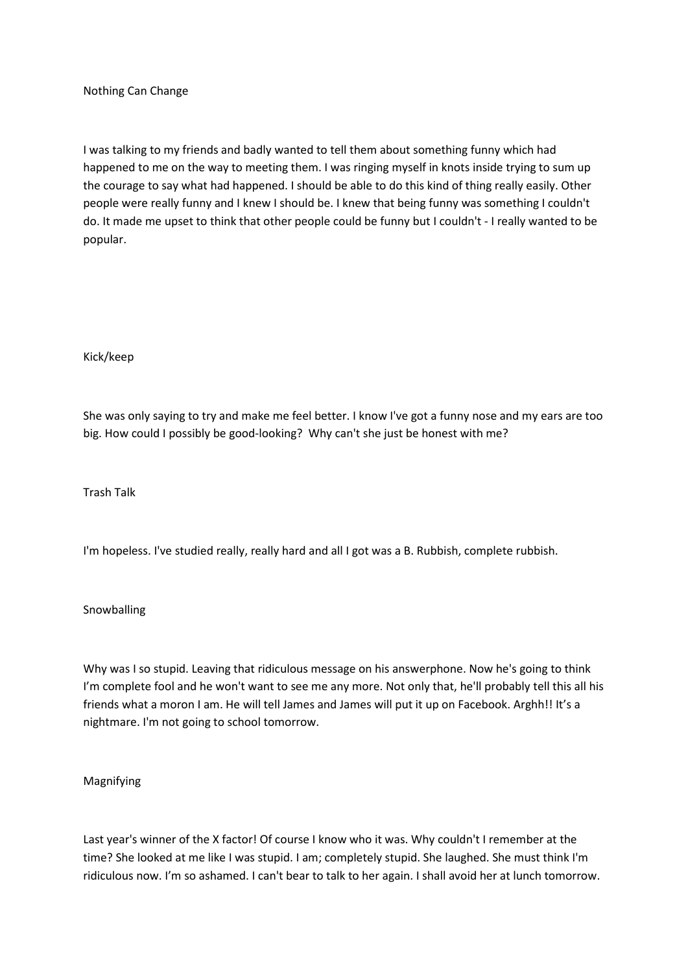Nothing Can Change

I was talking to my friends and badly wanted to tell them about something funny which had happened to me on the way to meeting them. I was ringing myself in knots inside trying to sum up the courage to say what had happened. I should be able to do this kind of thing really easily. Other people were really funny and I knew I should be. I knew that being funny was something I couldn't do. It made me upset to think that other people could be funny but I couldn't - I really wanted to be popular.

#### Kick/keep

She was only saying to try and make me feel better. I know I've got a funny nose and my ears are too big. How could I possibly be good-looking? Why can't she just be honest with me?

Trash Talk

I'm hopeless. I've studied really, really hard and all I got was a B. Rubbish, complete rubbish.

#### Snowballing

Why was I so stupid. Leaving that ridiculous message on his answerphone. Now he's going to think I'm complete fool and he won't want to see me any more. Not only that, he'll probably tell this all his friends what a moron I am. He will tell James and James will put it up on Facebook. Arghh!! It's a nightmare. I'm not going to school tomorrow.

#### Magnifying

Last year's winner of the X factor! Of course I know who it was. Why couldn't I remember at the time? She looked at me like I was stupid. I am; completely stupid. She laughed. She must think I'm ridiculous now. I'm so ashamed. I can't bear to talk to her again. I shall avoid her at lunch tomorrow.